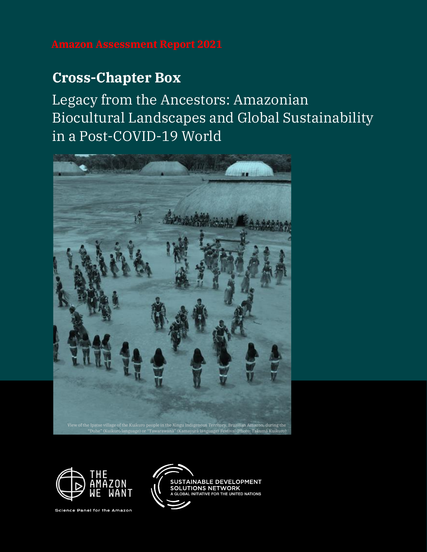# **Cross-Chapter Box**

Legacy from the Ancestors: Amazonian Biocultural Landscapes and Global Sustainability in a Post-COVID-19 World





Science Panel for the Amazon

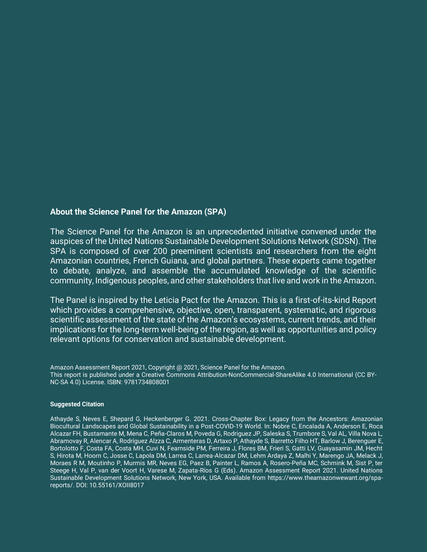### **About the Science Panel for the Amazon (SPA)**

The Science Panel for the Amazon is an unprecedented initiative convened under the auspices of the United Nations Sustainable Development Solutions Network (SDSN). The SPA is composed of over 200 preeminent scientists and researchers from the eight Amazonian countries, French Guiana, and global partners. These experts came together to debate, analyze, and assemble the accumulated knowledge of the scientific community, Indigenous peoples, and other stakeholders that live and work in the Amazon.

The Panel is inspired by the Leticia Pact for the Amazon. This is a first-of-its-kind Report which provides a comprehensive, objective, open, transparent, systematic, and rigorous scientific assessment of the state of the Amazon's ecosystems, current trends, and their implications for the long-term well-being of the region, as well as opportunities and policy relevant options for conservation and sustainable development.

Amazon Assessment Report 2021, Copyright @ 2021, Science Panel for the Amazon. This report is published under a Creative Commons Attribution-NonCommercial-ShareAlike 4.0 International (CC BY-NC-SA 4.0) License. ISBN: 9781734808001

#### **Suggested Citation**

Athayde S, Neves E, Shepard G, Heckenberger G. 2021. Cross-Chapter Box: Legacy from the Ancestors: Amazonian Biocultural Landscapes and Global Sustainability in a Post-COVID-19 World. In: Nobre C, Encalada A, Anderson E, Roca Alcazar FH, Bustamante M, Mena C, Peña-Claros M, Poveda G, Rodriguez JP, Saleska S, Trumbore S, Val AL, Villa Nova L, Abramovay R, Alencar A, Rodríguez Alzza C, Armenteras D, Artaxo P, Athayde S, Barretto Filho HT, Barlow J, Berenguer E, Bortolotto F, Costa FA, Costa MH, Cuvi N, Fearnside PM, Ferreira J, Flores BM, Frieri S, Gatti LV, Guayasamin JM, Hecht S, Hirota M, Hoorn C, Josse C, Lapola DM, Larrea C, Larrea-Alcazar DM, Lehm Ardaya Z, Malhi Y, Marengo JA, Melack J, Moraes R M, Moutinho P, Murmis MR, Neves EG, Paez B, Painter L, Ramos A, Rosero-Peña MC, Schmink M, Sist P, ter Steege H, Val P, van der Voort H, Varese M, Zapata-Ríos G (Eds). Amazon Assessment Report 2021. United Nations Sustainable Development Solutions Network, New York, USA. Available from https://www.theamazonwewant.org/spareports/. DOI: 10.55161/XOII8017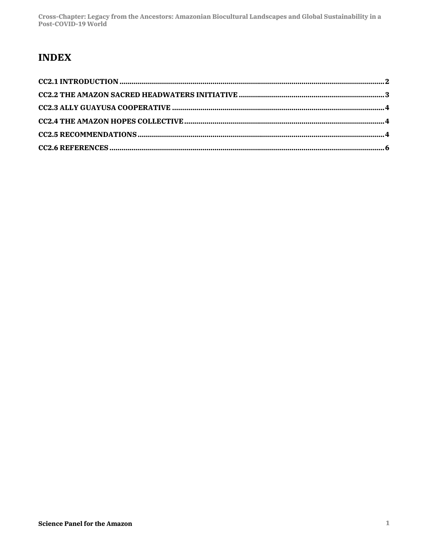## **INDEX**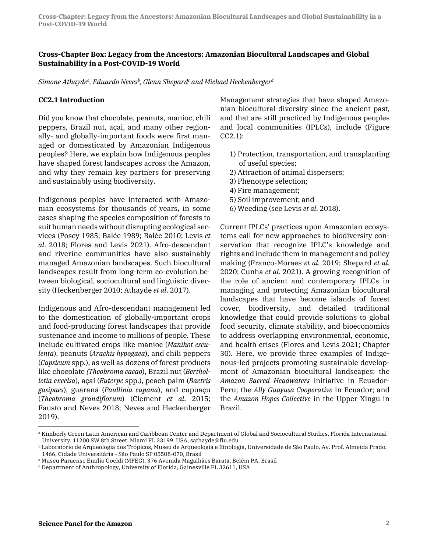#### **Cross-Chapter Box: Legacy from the Ancestors: Amazonian Biocultural Landscapes and Global Sustainability in a Post-COVID-19 World**

 $S$ imone Athaydeª, Eduardo Neves<sup>b</sup>, Glenn Shepard<sup>c</sup> and Michael Heckenberger<sup>d</sup>

#### **CC2.1 Introduction**

Did you know that chocolate, peanuts, manioc, chili peppers, Brazil nut, açai, and many other regionally- and globally-important foods were first managed or domesticated by Amazonian Indigenous peoples? Here, we explain how Indigenous peoples have shaped forest landscapes across the Amazon, and why they remain key partners for preserving and sustainably using biodiversity.

Indigenous peoples have interacted with Amazonian ecosystems for thousands of years, in some cases shaping the species composition of forests to suit human needs without disrupting ecological services (Posey 1985; Balée 1989; Balée 2010; Levis *et al*. 2018; Flores and Levis 2021). Afro-descendant and riverine communities have also sustainably managed Amazonian landscapes. Such biocultural landscapes result from long-term co-evolution between biological, sociocultural and linguistic diversity (Heckenberger 2010; Athayde *et al*. 2017).

Indigenous and Afro-descendant management led to the domestication of globally-important crops and food-producing forest landscapes that provide sustenance and income to millions of people. These include cultivated crops like manioc (*Manihot esculenta*), peanuts (*Arachis hypogaea*), and chili peppers (*Capsicum* spp.), as well as dozens of forest products like chocolate *(Theobroma cacao*), Brazil nut (*Bertholletia excelsa*), açaí (*Euterpe* spp.), peach palm (*Bactris gasipaes*), guaraná (*Paullinia cupana*), and cupuaçu (*Theobroma grandiflorum*) (Clement *et al*. 2015; Fausto and Neves 2018; Neves and Heckenberger 2019).

Management strategies that have shaped Amazonian biocultural diversity since the ancient past, and that are still practiced by Indigenous peoples and local communities (IPLCs), include (Figure CC2.1):

- 1) Protection, transportation, and transplanting of useful species;
- 2) Attraction of animal dispersers;
- 3) Phenotype selection;
- 4) Fire management;
- 5) Soil improvement; and
- 6) Weeding (see Levis *et al*. 2018).

Current IPLCs' practices upon Amazonian ecosystems call for new approaches to biodiversity conservation that recognize IPLC's knowledge and rights and include them in management and policy making (Franco-Moraes *et al*. 2019; Shepard *et al*. 2020; Cunha *et al*. 2021). A growing recognition of the role of ancient and contemporary IPLCs in managing and protecting Amazonian biocultural landscapes that have become islands of forest cover, biodiversity, and detailed traditional knowledge that could provide solutions to global food security, climate stability, and bioeconomics to address overlapping environmental, economic, and health crises (Flores and Levis 2021; Chapter 30). Here, we provide three examples of Indigenous-led projects promoting sustainable development of Amazonian biocultural landscapes: the *Amazon Sacred Headwaters* initiative in Ecuador-Peru; the *Ally Guayusa Cooperative* in Ecuador; and the *Amazon Hopes Collective* in the Upper Xingu in Brazil.

<sup>&</sup>lt;sup>a</sup> Kimberly Green Latin American and Caribbean Center and Department of Global and Sociocultural Studies, Florida International University, 11200 SW 8th Street, Miami FL 33199, USA, sathayde@fiu.edu

<sup>b</sup> Laboratório de Arqueologia dos Trópicos, Museu de Arqueologia e Etnologia, Universidade de São Paulo. Av. Prof. Almeida Prado, 1466, Cidade Universitária - São Paulo SP 05508-070, Brasil

<sup>c</sup> Museu Paraense Emílio Goeldi (MPEG), 376 Avenida Magalhães Barata, Belém PA, Brasil

<sup>d</sup> Department of Anthropology, University of Florida, Gainesville FL 32611, USA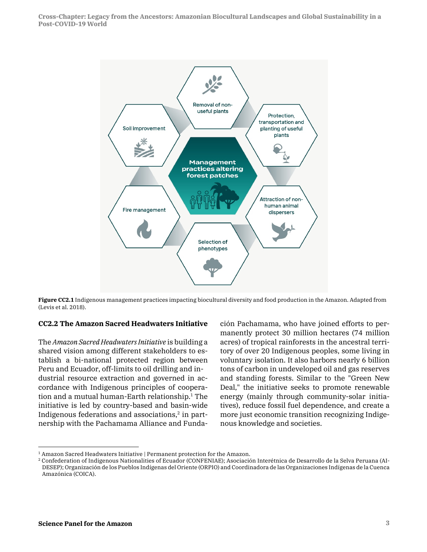**Cross-Chapter: Legacy from the Ancestors: Amazonian Biocultural Landscapes and Global Sustainability in a Post-COVID-19 World**



**Figure CC2.1** Indigenous management practices impacting biocultural diversity and food production in the Amazon. Adapted from (Levis et al. 2018).

#### **CC2.2 The Amazon Sacred Headwaters Initiative**

The *Amazon Sacred Headwaters Initiative* is building a shared vision among different stakeholders to establish a bi-national protected region between Peru and Ecuador, off-limits to oil drilling and industrial resource extraction and governed in accordance with Indigenous principles of cooperation and a mutual human-Earth relationship. <sup>1</sup> The initiative is led by country-based and basin-wide Indigenous federations and associations, <sup>2</sup> in partnership with the Pachamama Alliance and Fundación Pachamama, who have joined efforts to permanently protect 30 million hectares (74 million acres) of tropical rainforests in the ancestral territory of over 20 Indigenous peoples, some living in voluntary isolation. It also harbors nearly 6 billion tons of carbon in undeveloped oil and gas reserves and standing forests. Similar to the "Green New Deal," the initiative seeks to promote renewable energy (mainly through community-solar initiatives), reduce fossil fuel dependence, and create a more just economic transition recognizing Indigenous knowledge and societies.

<sup>1</sup> Amazon Sacred Headwaters Initiative | Permanent protection for the Amazon.

<sup>2</sup> Confederation of Indigenous Nationalities of Ecuador (CONFENIAE); Asociación Interétnica de Desarrollo de la Selva Peruana (AI-DESEP); Organización de los Pueblos Indígenas del Oriente (ORPIO) and Coordinadora de las Organizaciones Indígenas de la Cuenca Amazónica (COICA).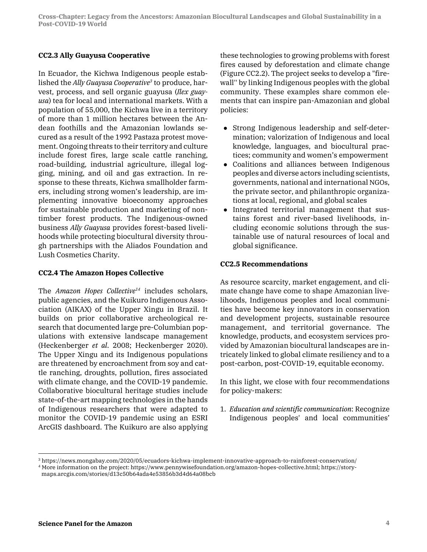#### **CC2.3 Ally Guayusa Cooperative**

In Ecuador, the Kichwa Indigenous people established the *Ally Guayusa Cooperative3* to produce, harvest, process, and sell organic guayusa (*Ilex guayusa*) tea for local and international markets. With a population of 55,000, the Kichwa live in a territory of more than 1 million hectares between the Andean foothills and the Amazonian lowlands secured as a result of the 1992 Pastaza protest movement. Ongoing threats to their territory and culture include forest fires, large scale cattle ranching, road-building, industrial agriculture, illegal logging, mining, and oil and gas extraction. In response to these threats, Kichwa smallholder farmers, including strong women's leadership, are implementing innovative bioeconomy approaches for sustainable production and marketing of nontimber forest products. The Indigenous-owned business *Ally Guayusa* provides forest-based livelihoods while protecting biocultural diversity through partnerships with the Aliados Foundation and Lush Cosmetics Charity.

#### **CC2.4 The Amazon Hopes Collective**

The *Amazon Hopes Collective14* includes scholars, public agencies, and the Kuikuro Indigenous Association (AIKAX) of the Upper Xingu in Brazil. It builds on prior collaborative archeological research that documented large pre-Columbian populations with extensive landscape management (Heckenberger *et al*. 2008; Heckenberger 2020). The Upper Xingu and its Indigenous populations are threatened by encroachment from soy and cattle ranching, droughts, pollution, fires associated with climate change, and the COVID-19 pandemic. Collaborative biocultural heritage studies include state-of-the-art mapping technologies in the hands of Indigenous researchers that were adapted to monitor the COVID-19 pandemic using an ESRI ArcGIS dashboard. The Kuikuro are also applying

these technologies to growing problems with forest fires caused by deforestation and climate change (Figure CC2.2). The project seeks to develop a "firewall'' by linking Indigenous peoples with the global community. These examples share common elements that can inspire pan-Amazonian and global policies:

- Strong Indigenous leadership and self-determination; valorization of Indigenous and local knowledge, languages, and biocultural practices; community and women's empowerment
- Coalitions and alliances between Indigenous peoples and diverse actors including scientists, governments, national and international NGOs, the private sector, and philanthropic organizations at local, regional, and global scales
- Integrated territorial management that sustains forest and river-based livelihoods, including economic solutions through the sustainable use of natural resources of local and global significance.

#### **CC2.5 Recommendations**

As resource scarcity, market engagement, and climate change have come to shape Amazonian livelihoods, Indigenous peoples and local communities have become key innovators in conservation and development projects, sustainable resource management, and territorial governance. The knowledge, products, and ecosystem services provided by Amazonian biocultural landscapes are intricately linked to global climate resiliency and to a post-carbon, post-COVID-19, equitable economy.

In this light, we close with four recommendations for policy-makers:

1. *Education and scientific communication*: Recognize Indigenous peoples' and local communities'

<sup>3</sup> https://news.mongabay.com/2020/05/ecuadors-kichwa-implement-innovative-approach-to-rainforest-conservation/

<sup>4</sup> More information on the project: https://www.pennywisefoundation.org/amazon-hopes-collective.html; https://storymaps.arcgis.com/stories/d13c50b64ada4e53856b3d4d64a08bcb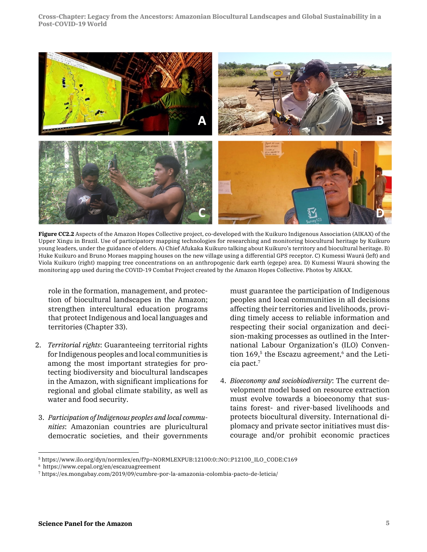**Cross-Chapter: Legacy from the Ancestors: Amazonian Biocultural Landscapes and Global Sustainability in a Post-COVID-19 World**



**Figure CC2.2** Aspects of the Amazon Hopes Collective project, co-developed with the Kuikuro Indigenous Association (AIKAX) of the Upper Xingu in Brazil. Use of participatory mapping technologies for researching and monitoring biocultural heritage by Kuikuro young leaders, under the guidance of elders. A) Chief Afukaka Kuikuro talking about Kuikuro's territory and biocultural heritage. B) Huke Kuikuro and Bruno Moraes mapping houses on the new village using a differential GPS receptor. C) Kumessi Waurá (left) and Viola Kuikuro (right) mapping tree concentrations on an anthropogenic dark earth (egepe) area. D) Kumessi Waurá showing the monitoring app used during the COVID-19 Combat Project created by the Amazon Hopes Collective. Photos by AIKAX.

role in the formation, management, and protection of biocultural landscapes in the Amazon; strengthen intercultural education programs that protect Indigenous and local languages and territories (Chapter 33).

- 2. *Territorial rights*: Guaranteeing territorial rights for Indigenous peoples and local communities is among the most important strategies for protecting biodiversity and biocultural landscapes in the Amazon, with significant implications for regional and global climate stability, as well as water and food security.
- 3. *Participation of Indigenous peoples and local communities*: Amazonian countries are pluricultural democratic societies, and their governments

must guarantee the participation of Indigenous peoples and local communities in all decisions affecting their territories and livelihoods, providing timely access to reliable information and respecting their social organization and decision-making processes as outlined in the International Labour Organization's (ILO) Convention 169, <sup>5</sup> the Escazu agreement, <sup>6</sup> and the Leticia pact. $^7$ 

4. *Bioeconomy and sociobiodiversity*: The current development model based on resource extraction must evolve towards a bioeconomy that sustains forest- and river-based livelihoods and protects biocultural diversity. International diplomacy and private sector initiatives must discourage and/or prohibit economic practices

<sup>5</sup> https://www.ilo.org/dyn/normlex/en/f?p=NORMLEXPUB:12100:0::NO::P12100\_ILO\_CODE:C169

<sup>6</sup> https://www.cepal.org/en/escazuagreement

<sup>7</sup> https://es.mongabay.com/2019/09/cumbre-por-la-amazonia-colombia-pacto-de-leticia/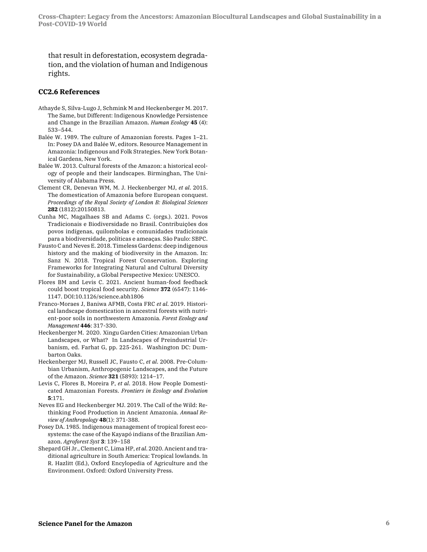that result in deforestation, ecosystem degradation, and the violation of human and Indigenous rights.

#### **CC2.6 References**

- Athayde S, Silva-Lugo J, Schmink M and Heckenberger M. 2017. The Same, but Different: Indigenous Knowledge Persistence and Change in the Brazilian Amazon. *Human Ecology* **45** (4): 533–544.
- Balée W. 1989. The culture of Amazonian forests. Pages 1–21. In: Posey DA and Balée W, editors. Resource Management in Amazonia: Indigenous and Folk Strategies. New York Botanical Gardens, New York.
- Balée W. 2013. Cultural forests of the Amazon: a historical ecology of people and their landscapes. Birminghan, The University of Alabama Press.
- Clement CR, Denevan WM, M. J. Heckenberger MJ, *et al*. 2015. The domestication of Amazonia before European conquest. *Proceedings of the Royal Society of London B: Biological Sciences* **282** (1812):20150813.
- Cunha MC, Magalhaes SB and Adams C. (orgs.). 2021. Povos Tradicionais e Biodiversidade no Brasil. Contribuições dos povos indígenas, quilombolas e comunidades tradicionais para a biodiversidade, políticas e ameaças. São Paulo: SBPC.
- Fausto C and Neves E. 2018. Timeless Gardens: deep indigenous history and the making of biodiversity in the Amazon. In: Sanz N. 2018. Tropical Forest Conservation. Exploring Frameworks for Integrating Natural and Cultural Diversity for Sustainability, a Global Perspective Mexico: UNESCO.
- Flores BM and Levis C. 2021. Ancient human-food feedback could boost tropical food security. *Science* **372** (6547): 1146- 1147. DOI:10.1126/science.abh1806
- Franco-Moraes J, Baniwa AFMB, Costa FRC *et al*. 2019. Historical landscape domestication in ancestral forests with nutrient-poor soils in northwestern Amazonia. *Forest Ecology and Management* **446**: 317-330.
- Heckenberger M. 2020. Xingu Garden Cities: Amazonian Urban Landscapes, or What? In Landscapes of Preindustrial Urbanism, ed. Farhat G, pp. 225-261. Washington DC: Dumbarton Oaks.
- Heckenberger MJ, Russell JC, Fausto C, *et al*. 2008. Pre-Columbian Urbanism, Anthropogenic Landscapes, and the Future of the Amazon. *Science* **321** (5893): 1214–17.
- Levis C, Flores B, Moreira P, *et al*. 2018. How People Domesticated Amazonian Forests. *Frontiers in Ecology and Evolution* **5**:171.
- Neves EG and Heckenberger MJ. 2019. The Call of the Wild: Rethinking Food Production in Ancient Amazonia. *Annual Review of Anthropology* **48**(1): 371-388.
- Posey DA. 1985. Indigenous management of tropical forest ecosystems: the case of the Kayapó indians of the Brazilian Amazon. *Agroforest Syst* **3**: 139–158
- Shepard GH Jr., Clement C, Lima HP, *et al*. 2020. Ancient and traditional agriculture in South America: Tropical lowlands. In R. Hazlitt (Ed.), Oxford Encylopedia of Agriculture and the Environment. Oxford: Oxford University Press.